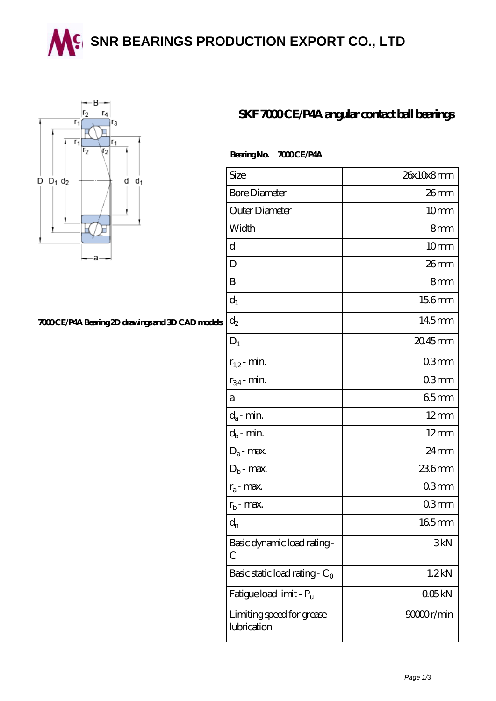**SING BEARINGS PRODUCTION EXPORT CO., LTD** 



## **[7000 CE/P4A Bearing 2D drawings and 3D CAD models](https://wqgit.com/pic-145260.html)**

## **[SKF 7000 CE/P4A angular contact ball bearings](https://wqgit.com/az-145260-skf-7000-ce-p4a-angular-contact-ball-bearings.html)**

## Bearing No. 7000 CE/P4A

| Size                                     | 26x10x8mm          |
|------------------------------------------|--------------------|
| <b>Bore Diameter</b>                     | 26mm               |
| Outer Diameter                           | 10 <sub>mm</sub>   |
| Width                                    | 8mm                |
| d                                        | 10mm               |
| D                                        | 26mm               |
| B                                        | 8mm                |
| $d_1$                                    | 156mm              |
| $\mathrm{d}_2$                           | 14.5mm             |
| $D_1$                                    | $2045$ mm          |
| $r_{1,2}$ - min.                         | 03 <sub>mm</sub>   |
| $r_{34}$ - min.                          | 03 <sub>mm</sub>   |
| a                                        | 65mm               |
| $d_a$ - min.                             | $12 \text{mm}$     |
| $d_b$ - min.                             | $12 \text{mm}$     |
| $D_a$ - max.                             | $24 \,\mathrm{mm}$ |
| $D_b$ - max.                             | 236mm              |
| $r_a$ - max.                             | 03mm               |
| $r_{b}$ - max.                           | 03mm               |
| $d_{n}$                                  | 165mm              |
| Basic dynamic load rating-<br>С          | 3kN                |
| Basic static load rating - $C_0$         | 1.2 <sub>kN</sub>  |
| Fatigue load limit - P <sub>u</sub>      | 005kN              |
| Limiting speed for grease<br>lubrication | 90000r/min         |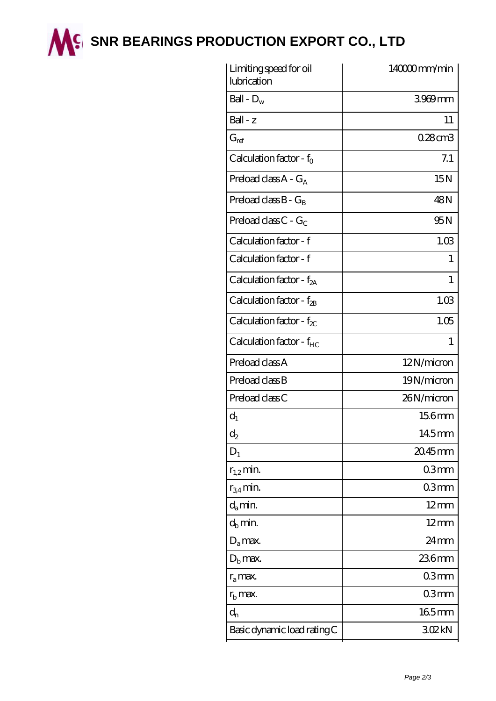

**M<sup>C</sup> [SNR BEARINGS PRODUCTION EXPORT CO., LTD](https://wqgit.com)** 

| Limiting speed for oil<br>lubrication | 140000mm/min   |
|---------------------------------------|----------------|
| Ball - $D_w$                          | 3969mm         |
| $Ball - z$                            | 11             |
| $G_{\mathrm{ref}}$                    | 0.28cm3        |
| Calculation factor - $f_0$            | 7.1            |
| Preload class $A - G_A$               | 15N            |
| Preload class $B - G_B$               | 48N            |
| Preload class $C - G_C$               | 95N            |
| Calculation factor - f                | 1.03           |
| Calculation factor - f                | 1              |
| Calculation factor - $f_{2A}$         | 1              |
| Calculation factor - $f_{2B}$         | 1.03           |
| Calculation factor - $f_{\chi}$       | 1.05           |
| Calculation factor - f <sub>HC</sub>  | 1              |
| Preload class A                       | 12N/micron     |
| Preload class B                       | 19N/micron     |
| Preload class C                       | 26N/micron     |
| $d_1$                                 | 156mm          |
| $\mathrm{d}_2$                        | 145mm          |
| $D_1$                                 | 20.45mm        |
| $r_{1,2}$ min.                        | 03mm           |
| $r_{34}$ min.                         | 03mm           |
| $d_a$ min.                            | $12 \text{mm}$ |
| $d_b$ min.                            | $12 \text{mm}$ |
| $D_a$ max.                            | $24 \text{mm}$ |
| $D_{b}$ max.                          | 236mm          |
| $r_a$ max.                            | 03mm           |
| $rb$ max.                             | 03mm           |
| $d_{n}$                               | $165$ mm       |
| Basic dynamic load rating C           | 302kN          |